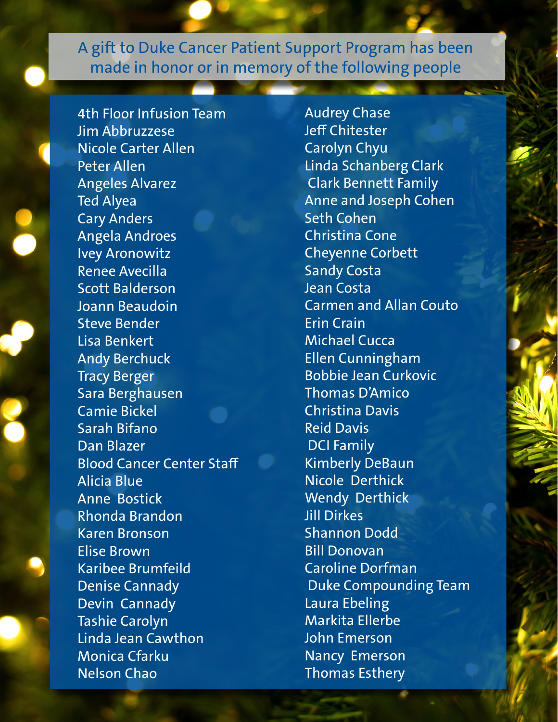4th Floor Infusion Team Jim Abbruzzese Nicole Carter Allen Peter Allen Angeles Alvarez Ted Alyea Cary Anders Angela Androes Ivey Aronowitz Renee Avecilla Scott Balderson Joann Beaudoin Steve Bender Lisa Benkert Andy Berchuck Tracy Berger Sara Berghausen Camie Bickel Sarah Bifano Dan Blazer Blood Cancer Center Staff Alicia Blue Anne Bostick Rhonda Brandon Karen Bronson Elise Brown Karibee Brumfeild Denise Cannady Devin Cannady Tashie Carolyn Linda Jean Cawthon Monica Cfarku Nelson Chao

Audrey Chase Jeff Chitester Carolyn Chyu Linda Schanberg Clark Clark Bennett Family Anne and Joseph Cohen Seth Cohen Christina Cone Cheyenne Corbett Sandy Costa Jean Costa Carmen and Allan Couto Erin Crain Michael Cucca Ellen Cunningham Bobbie Jean Curkovic Thomas D'Amico Christina Davis Reid Davis DCI Family Kimberly DeBaun Nicole Derthick Wendy Derthick Jill Dirkes Shannon Dodd Bill Donovan Caroline Dorfman Duke Compounding Team Laura Ebeling Markita Ellerbe John Emerson Nancy Emerson Thomas Esthery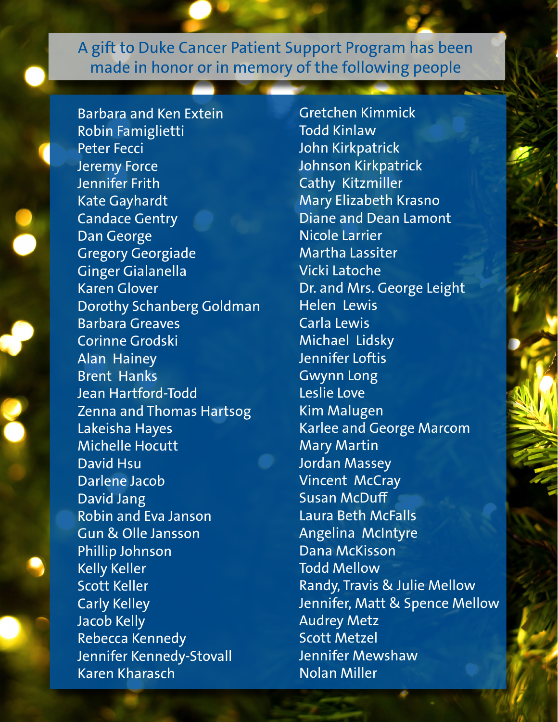Barbara and Ken Extein Robin Famiglietti Peter Fecci Jeremy Force Jennifer Frith Kate Gayhardt Candace Gentry Dan George Gregory Georgiade Ginger Gialanella Karen Glover Dorothy Schanberg Goldman Barbara Greaves Corinne Grodski Alan Hainey Brent Hanks Jean Hartford-Todd Zenna and Thomas Hartsog Lakeisha Hayes Michelle Hocutt David Hsu Darlene Jacob David Jang Robin and Eva Janson Gun & Olle Jansson Phillip Johnson Kelly Keller Scott Keller Carly Kelley Jacob Kelly Rebecca Kennedy Jennifer Kennedy-Stovall Karen Kharasch

Gretchen Kimmick Todd Kinlaw John Kirkpatrick Johnson Kirkpatrick Cathy Kitzmiller Mary Elizabeth Krasno Diane and Dean Lamont Nicole Larrier Martha Lassiter Vicki Latoche Dr. and Mrs. George Leight Helen Lewis Carla Lewis Michael Lidsky Jennifer Loftis Gwynn Long Leslie Love Kim Malugen Karlee and George Marcom Mary Martin Jordan Massey Vincent McCray Susan McDuff Laura Beth McFalls Angelina McIntyre Dana McKisson Todd Mellow Randy, Travis & Julie Mellow Jennifer, Matt & Spence Mellow Audrey Metz Scott Metzel Jennifer Mewshaw Nolan Miller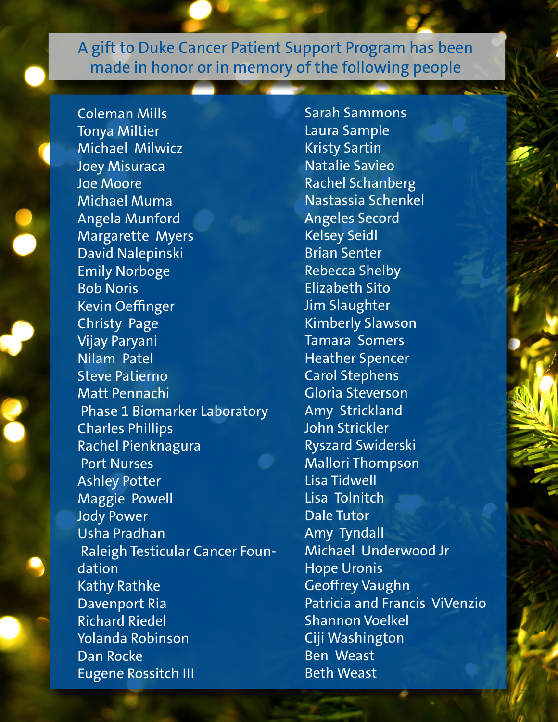Coleman Mills Tonya Miltier Michael Milwicz Joey Misuraca Joe Moore Michael Muma Angela Munford Margarette Myers David Nalepinski Emily Norboge Bob Noris Kevin Oeffinger Christy Page Vijay Paryani Nilam Patel Steve Patierno Matt Pennachi Phase 1 Biomarker Laboratory Charles Phillips Rachel Pienknagura Port Nurses Ashley Potter Maggie Powell Jody Power Usha Pradhan Raleigh Testicular Cancer Foundation Kathy Rathke Davenport Ria Richard Riedel Yolanda Robinson Dan Rocke Eugene Rossitch III

Sarah Sammons Laura Sample Kristy Sartin Natalie Savieo Rachel Schanberg Nastassia Schenkel Angeles Secord Kelsey Seidl Brian Senter Rebecca Shelby Elizabeth Sito Jim Slaughter Kimberly Slawson Tamara Somers Heather Spencer Carol Stephens Gloria Steverson Amy Strickland John Strickler Ryszard Swiderski Mallori Thompson Lisa Tidwell Lisa Tolnitch Dale Tutor Amy Tyndall Michael Underwood Jr Hope Uronis Geoffrey Vaughn Patricia and Francis ViVenzio Shannon Voelkel Ciji Washington Ben Weast Beth Weast